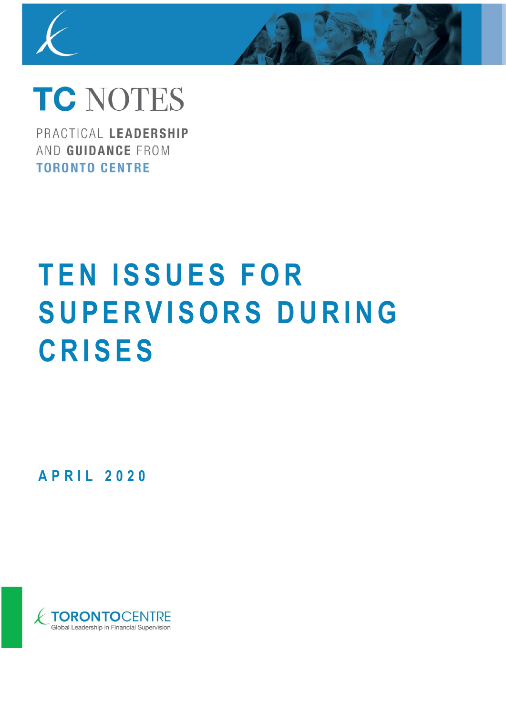

# **TC NOTES**

PRACTICAL LEADERSHIP AND GUIDANCE FROM **TORONTO CENTRE** 

# **TEN ISSUES FOR S U P E R V I S O R S D U R I N G C R I S E S**

**A P R I L 2 0 2 0**

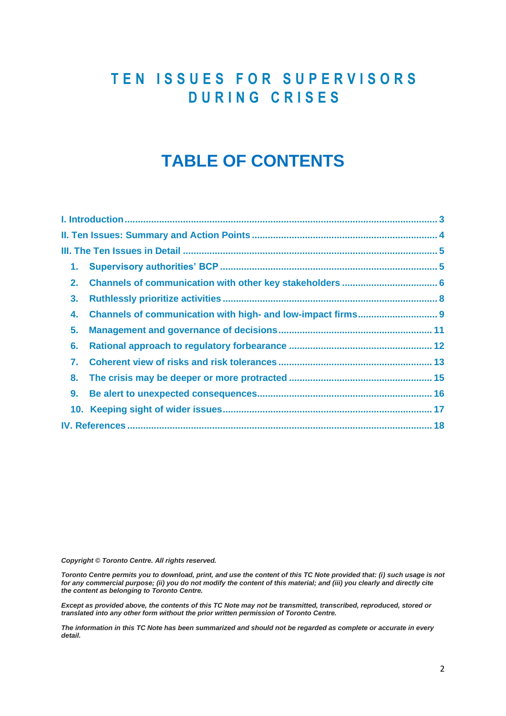# **T E N I S S U E S F O R S U P E R V I S O R S D U R I N G C R I S E S**

# **TABLE OF CONTENTS**

| 2.             |  |
|----------------|--|
| 3 <sub>1</sub> |  |
| 4.             |  |
| 5.             |  |
| 6.             |  |
| 7.             |  |
| 8.             |  |
| 9.             |  |
|                |  |
|                |  |

*Copyright © Toronto Centre. All rights reserved.* 

*Toronto Centre permits you to download, print, and use the content of this TC Note provided that: (i) such usage is not*  for any commercial purpose; (ii) you do not modify the content of this material; and (iii) you clearly and directly cite *the content as belonging to Toronto Centre.* 

*Except as provided above, the contents of this TC Note may not be transmitted, transcribed, reproduced, stored or translated into any other form without the prior written permission of Toronto Centre.* 

*The information in this TC Note has been summarized and should not be regarded as complete or accurate in every detail.*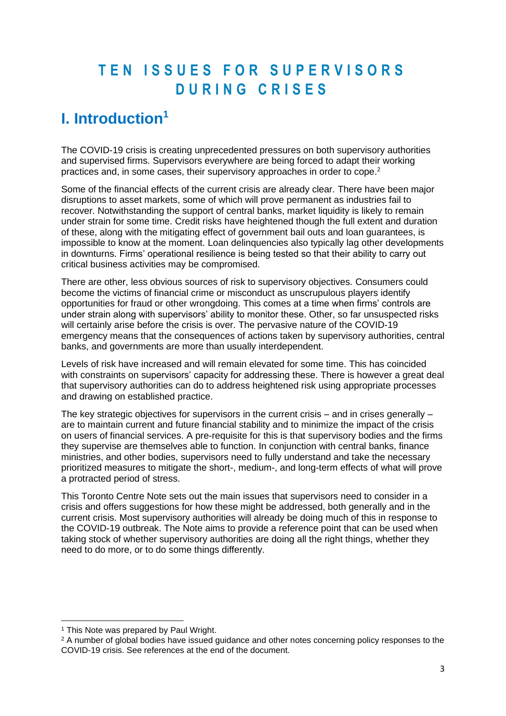# **T E N I S S U E S F O R S U P E R V I S O R S D U R I N G C R I S E S**

# <span id="page-2-0"></span>**I. Introduction<sup>1</sup>**

The COVID-19 crisis is creating unprecedented pressures on both supervisory authorities and supervised firms. Supervisors everywhere are being forced to adapt their working practices and, in some cases, their supervisory approaches in order to cope.<sup>2</sup>

Some of the financial effects of the current crisis are already clear. There have been major disruptions to asset markets, some of which will prove permanent as industries fail to recover. Notwithstanding the support of central banks, market liquidity is likely to remain under strain for some time. Credit risks have heightened though the full extent and duration of these, along with the mitigating effect of government bail outs and loan guarantees, is impossible to know at the moment. Loan delinquencies also typically lag other developments in downturns. Firms' operational resilience is being tested so that their ability to carry out critical business activities may be compromised.

There are other, less obvious sources of risk to supervisory objectives. Consumers could become the victims of financial crime or misconduct as unscrupulous players identify opportunities for fraud or other wrongdoing. This comes at a time when firms' controls are under strain along with supervisors' ability to monitor these. Other, so far unsuspected risks will certainly arise before the crisis is over. The pervasive nature of the COVID-19 emergency means that the consequences of actions taken by supervisory authorities, central banks, and governments are more than usually interdependent.

Levels of risk have increased and will remain elevated for some time. This has coincided with constraints on supervisors' capacity for addressing these. There is however a great deal that supervisory authorities can do to address heightened risk using appropriate processes and drawing on established practice.

The key strategic objectives for supervisors in the current crisis – and in crises generally – are to maintain current and future financial stability and to minimize the impact of the crisis on users of financial services. A pre-requisite for this is that supervisory bodies and the firms they supervise are themselves able to function. In conjunction with central banks, finance ministries, and other bodies, supervisors need to fully understand and take the necessary prioritized measures to mitigate the short-, medium-, and long-term effects of what will prove a protracted period of stress.

This Toronto Centre Note sets out the main issues that supervisors need to consider in a crisis and offers suggestions for how these might be addressed, both generally and in the current crisis. Most supervisory authorities will already be doing much of this in response to the COVID-19 outbreak. The Note aims to provide a reference point that can be used when taking stock of whether supervisory authorities are doing all the right things, whether they need to do more, or to do some things differently.

<sup>&</sup>lt;sup>1</sup> This Note was prepared by Paul Wright.

<sup>&</sup>lt;sup>2</sup> A number of global bodies have issued guidance and other notes concerning policy responses to the COVID-19 crisis. See references at the end of the document.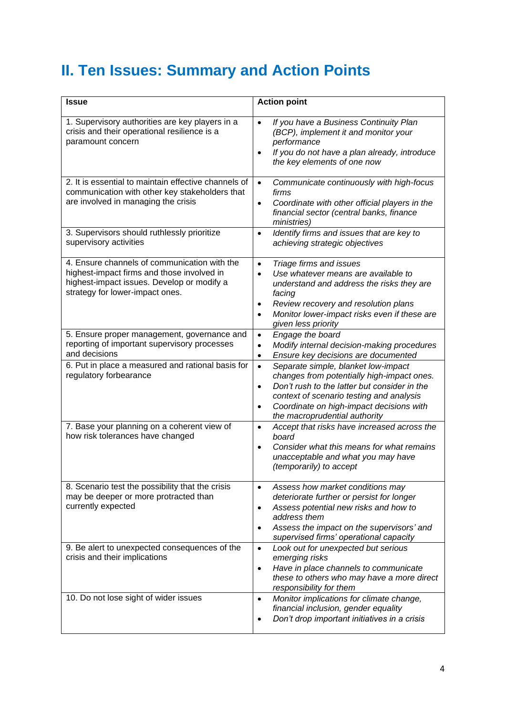# <span id="page-3-0"></span>**II. Ten Issues: Summary and Action Points**

| <b>Issue</b>                                                                                                                                                                | <b>Action point</b>                                                                                                                                                                                                                                                                               |
|-----------------------------------------------------------------------------------------------------------------------------------------------------------------------------|---------------------------------------------------------------------------------------------------------------------------------------------------------------------------------------------------------------------------------------------------------------------------------------------------|
| 1. Supervisory authorities are key players in a<br>crisis and their operational resilience is a<br>paramount concern                                                        | If you have a Business Continuity Plan<br>$\bullet$<br>(BCP), implement it and monitor your<br>performance<br>If you do not have a plan already, introduce<br>$\bullet$<br>the key elements of one now                                                                                            |
| 2. It is essential to maintain effective channels of<br>communication with other key stakeholders that<br>are involved in managing the crisis                               | Communicate continuously with high-focus<br>$\bullet$<br>firms<br>Coordinate with other official players in the<br>$\bullet$<br>financial sector (central banks, finance<br>ministries)                                                                                                           |
| 3. Supervisors should ruthlessly prioritize<br>supervisory activities                                                                                                       | Identify firms and issues that are key to<br>$\bullet$<br>achieving strategic objectives                                                                                                                                                                                                          |
| 4. Ensure channels of communication with the<br>highest-impact firms and those involved in<br>highest-impact issues. Develop or modify a<br>strategy for lower-impact ones. | Triage firms and issues<br>$\bullet$<br>Use whatever means are available to<br>$\bullet$<br>understand and address the risks they are<br>facing<br>Review recovery and resolution plans<br>$\bullet$<br>Monitor lower-impact risks even if these are<br>given less priority                       |
| 5. Ensure proper management, governance and<br>reporting of important supervisory processes<br>and decisions                                                                | Engage the board<br>$\bullet$<br>Modify internal decision-making procedures<br>$\bullet$<br>Ensure key decisions are documented<br>$\bullet$                                                                                                                                                      |
| 6. Put in place a measured and rational basis for<br>regulatory forbearance                                                                                                 | Separate simple, blanket low-impact<br>$\bullet$<br>changes from potentially high-impact ones.<br>Don't rush to the latter but consider in the<br>$\bullet$<br>context of scenario testing and analysis<br>Coordinate on high-impact decisions with<br>$\bullet$<br>the macroprudential authority |
| 7. Base your planning on a coherent view of<br>how risk tolerances have changed                                                                                             | Accept that risks have increased across the<br>$\bullet$<br>board<br>Consider what this means for what remains<br>$\bullet$<br>unacceptable and what you may have<br>(temporarily) to accept                                                                                                      |
| 8. Scenario test the possibility that the crisis<br>may be deeper or more protracted than<br>currently expected                                                             | Assess how market conditions may<br>$\bullet$<br>deteriorate further or persist for longer<br>Assess potential new risks and how to<br>٠<br>address them<br>Assess the impact on the supervisors' and<br>$\bullet$<br>supervised firms' operational capacity                                      |
| 9. Be alert to unexpected consequences of the<br>crisis and their implications                                                                                              | Look out for unexpected but serious<br>$\bullet$<br>emerging risks<br>Have in place channels to communicate<br>$\bullet$<br>these to others who may have a more direct<br>responsibility for them                                                                                                 |
| 10. Do not lose sight of wider issues                                                                                                                                       | Monitor implications for climate change,<br>$\bullet$<br>financial inclusion, gender equality<br>Don't drop important initiatives in a crisis<br>٠                                                                                                                                                |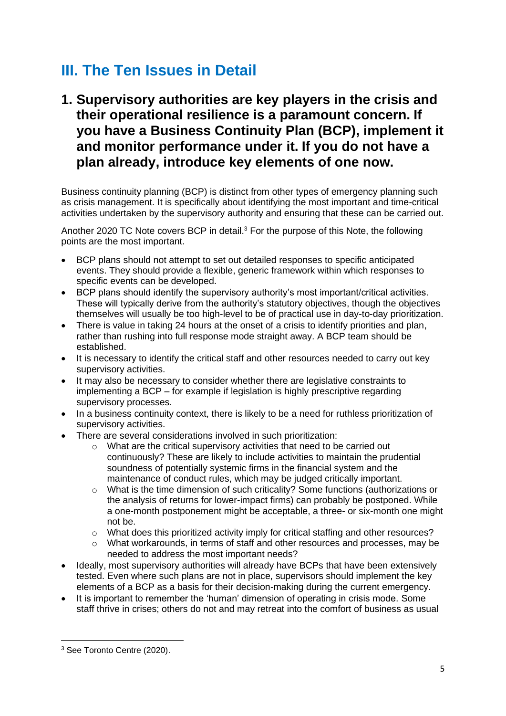# <span id="page-4-0"></span>**III. The Ten Issues in Detail**

<span id="page-4-1"></span>**1. Supervisory authorities are key players in the crisis and their operational resilience is a paramount concern. If you have a Business Continuity Plan (BCP), implement it and monitor performance under it. If you do not have a plan already, introduce key elements of one now.**

Business continuity planning (BCP) is distinct from other types of emergency planning such as crisis management. It is specifically about identifying the most important and time-critical activities undertaken by the supervisory authority and ensuring that these can be carried out.

Another 2020 TC Note covers BCP in detail.<sup>3</sup> For the purpose of this Note, the following points are the most important.

- BCP plans should not attempt to set out detailed responses to specific anticipated events. They should provide a flexible, generic framework within which responses to specific events can be developed.
- BCP plans should identify the supervisory authority's most important/critical activities. These will typically derive from the authority's statutory objectives, though the objectives themselves will usually be too high-level to be of practical use in day-to-day prioritization.
- There is value in taking 24 hours at the onset of a crisis to identify priorities and plan, rather than rushing into full response mode straight away. A BCP team should be established.
- It is necessary to identify the critical staff and other resources needed to carry out key supervisory activities.
- It may also be necessary to consider whether there are legislative constraints to implementing a BCP – for example if legislation is highly prescriptive regarding supervisory processes.
- In a business continuity context, there is likely to be a need for ruthless prioritization of supervisory activities.
- There are several considerations involved in such prioritization:
	- o What are the critical supervisory activities that need to be carried out continuously? These are likely to include activities to maintain the prudential soundness of potentially systemic firms in the financial system and the maintenance of conduct rules, which may be judged critically important.
	- $\circ$  What is the time dimension of such criticality? Some functions (authorizations or the analysis of returns for lower-impact firms) can probably be postponed. While a one-month postponement might be acceptable, a three- or six-month one might not be.
	- o What does this prioritized activity imply for critical staffing and other resources?
	- o What workarounds, in terms of staff and other resources and processes, may be needed to address the most important needs?
- Ideally, most supervisory authorities will already have BCPs that have been extensively tested. Even where such plans are not in place, supervisors should implement the key elements of a BCP as a basis for their decision-making during the current emergency.
- It is important to remember the 'human' dimension of operating in crisis mode. Some staff thrive in crises; others do not and may retreat into the comfort of business as usual

<sup>3</sup> See Toronto Centre (2020).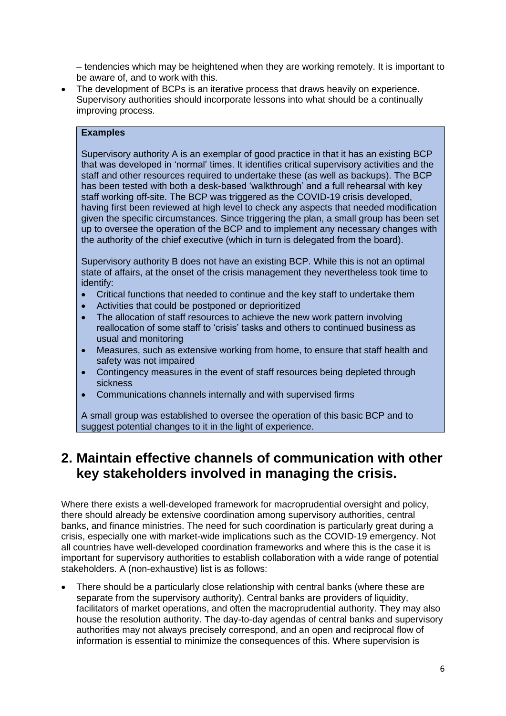– tendencies which may be heightened when they are working remotely. It is important to be aware of, and to work with this.

The development of BCPs is an iterative process that draws heavily on experience. Supervisory authorities should incorporate lessons into what should be a continually improving process.

### **Examples**

Supervisory authority A is an exemplar of good practice in that it has an existing BCP that was developed in 'normal' times. It identifies critical supervisory activities and the staff and other resources required to undertake these (as well as backups). The BCP has been tested with both a desk-based 'walkthrough' and a full rehearsal with key staff working off-site. The BCP was triggered as the COVID-19 crisis developed, having first been reviewed at high level to check any aspects that needed modification given the specific circumstances. Since triggering the plan, a small group has been set up to oversee the operation of the BCP and to implement any necessary changes with the authority of the chief executive (which in turn is delegated from the board).

Supervisory authority B does not have an existing BCP. While this is not an optimal state of affairs, at the onset of the crisis management they nevertheless took time to identify:

- Critical functions that needed to continue and the key staff to undertake them
- Activities that could be postponed or deprioritized
- The allocation of staff resources to achieve the new work pattern involving reallocation of some staff to 'crisis' tasks and others to continued business as usual and monitoring
- Measures, such as extensive working from home, to ensure that staff health and safety was not impaired
- Contingency measures in the event of staff resources being depleted through sickness
- Communications channels internally and with supervised firms

A small group was established to oversee the operation of this basic BCP and to suggest potential changes to it in the light of experience.

## <span id="page-5-0"></span>**2. Maintain effective channels of communication with other key stakeholders involved in managing the crisis.**

Where there exists a well-developed framework for macroprudential oversight and policy, there should already be extensive coordination among supervisory authorities, central banks, and finance ministries. The need for such coordination is particularly great during a crisis, especially one with market-wide implications such as the COVID-19 emergency. Not all countries have well-developed coordination frameworks and where this is the case it is important for supervisory authorities to establish collaboration with a wide range of potential stakeholders. A (non-exhaustive) list is as follows:

• There should be a particularly close relationship with central banks (where these are separate from the supervisory authority). Central banks are providers of liquidity, facilitators of market operations, and often the macroprudential authority. They may also house the resolution authority. The day-to-day agendas of central banks and supervisory authorities may not always precisely correspond, and an open and reciprocal flow of information is essential to minimize the consequences of this. Where supervision is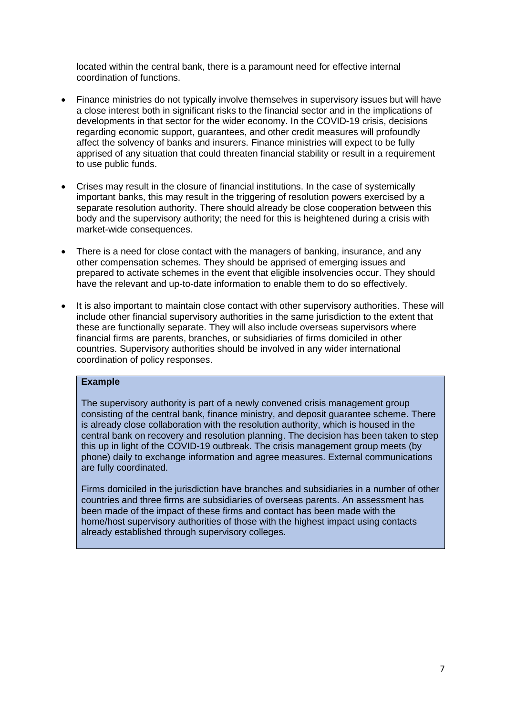located within the central bank, there is a paramount need for effective internal coordination of functions.

- Finance ministries do not typically involve themselves in supervisory issues but will have a close interest both in significant risks to the financial sector and in the implications of developments in that sector for the wider economy. In the COVID-19 crisis, decisions regarding economic support, guarantees, and other credit measures will profoundly affect the solvency of banks and insurers. Finance ministries will expect to be fully apprised of any situation that could threaten financial stability or result in a requirement to use public funds.
- Crises may result in the closure of financial institutions. In the case of systemically important banks, this may result in the triggering of resolution powers exercised by a separate resolution authority. There should already be close cooperation between this body and the supervisory authority; the need for this is heightened during a crisis with market-wide consequences.
- There is a need for close contact with the managers of banking, insurance, and any other compensation schemes. They should be apprised of emerging issues and prepared to activate schemes in the event that eligible insolvencies occur. They should have the relevant and up-to-date information to enable them to do so effectively.
- It is also important to maintain close contact with other supervisory authorities. These will include other financial supervisory authorities in the same jurisdiction to the extent that these are functionally separate. They will also include overseas supervisors where financial firms are parents, branches, or subsidiaries of firms domiciled in other countries. Supervisory authorities should be involved in any wider international coordination of policy responses.

#### **Example**

The supervisory authority is part of a newly convened crisis management group consisting of the central bank, finance ministry, and deposit guarantee scheme. There is already close collaboration with the resolution authority, which is housed in the central bank on recovery and resolution planning. The decision has been taken to step this up in light of the COVID-19 outbreak. The crisis management group meets (by phone) daily to exchange information and agree measures. External communications are fully coordinated.

Firms domiciled in the jurisdiction have branches and subsidiaries in a number of other countries and three firms are subsidiaries of overseas parents. An assessment has been made of the impact of these firms and contact has been made with the home/host supervisory authorities of those with the highest impact using contacts already established through supervisory colleges.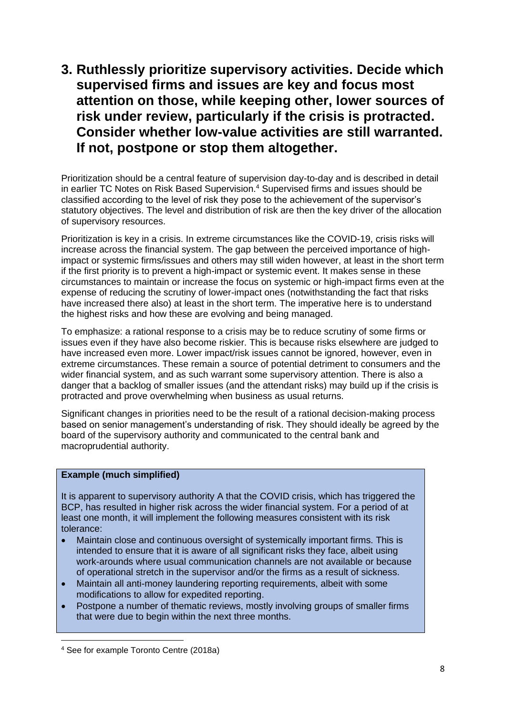<span id="page-7-0"></span>**3. Ruthlessly prioritize supervisory activities. Decide which supervised firms and issues are key and focus most attention on those, while keeping other, lower sources of risk under review, particularly if the crisis is protracted. Consider whether low-value activities are still warranted. If not, postpone or stop them altogether.**

Prioritization should be a central feature of supervision day-to-day and is described in detail in earlier TC Notes on Risk Based Supervision.<sup>4</sup> Supervised firms and issues should be classified according to the level of risk they pose to the achievement of the supervisor's statutory objectives. The level and distribution of risk are then the key driver of the allocation of supervisory resources.

Prioritization is key in a crisis. In extreme circumstances like the COVID-19, crisis risks will increase across the financial system. The gap between the perceived importance of highimpact or systemic firms/issues and others may still widen however, at least in the short term if the first priority is to prevent a high-impact or systemic event. It makes sense in these circumstances to maintain or increase the focus on systemic or high-impact firms even at the expense of reducing the scrutiny of lower-impact ones (notwithstanding the fact that risks have increased there also) at least in the short term. The imperative here is to understand the highest risks and how these are evolving and being managed.

To emphasize: a rational response to a crisis may be to reduce scrutiny of some firms or issues even if they have also become riskier. This is because risks elsewhere are judged to have increased even more. Lower impact/risk issues cannot be ignored, however, even in extreme circumstances. These remain a source of potential detriment to consumers and the wider financial system, and as such warrant some supervisory attention. There is also a danger that a backlog of smaller issues (and the attendant risks) may build up if the crisis is protracted and prove overwhelming when business as usual returns.

Significant changes in priorities need to be the result of a rational decision-making process based on senior management's understanding of risk. They should ideally be agreed by the board of the supervisory authority and communicated to the central bank and macroprudential authority.

## **Example (much simplified)**

It is apparent to supervisory authority A that the COVID crisis, which has triggered the BCP, has resulted in higher risk across the wider financial system. For a period of at least one month, it will implement the following measures consistent with its risk tolerance:

- Maintain close and continuous oversight of systemically important firms. This is intended to ensure that it is aware of all significant risks they face, albeit using work-arounds where usual communication channels are not available or because of operational stretch in the supervisor and/or the firms as a result of sickness.
- Maintain all anti-money laundering reporting requirements, albeit with some modifications to allow for expedited reporting.
- Postpone a number of thematic reviews, mostly involving groups of smaller firms that were due to begin within the next three months.

<sup>4</sup> See for example Toronto Centre (2018a)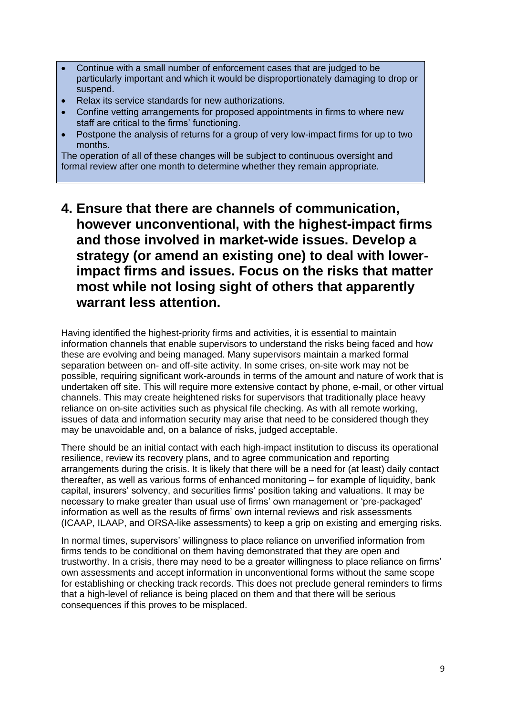- Continue with a small number of enforcement cases that are judged to be particularly important and which it would be disproportionately damaging to drop or suspend.
- Relax its service standards for new authorizations.
- Confine vetting arrangements for proposed appointments in firms to where new staff are critical to the firms' functioning.
- Postpone the analysis of returns for a group of very low-impact firms for up to two months.

The operation of all of these changes will be subject to continuous oversight and formal review after one month to determine whether they remain appropriate.

<span id="page-8-0"></span>**4. Ensure that there are channels of communication, however unconventional, with the highest-impact firms and those involved in market-wide issues. Develop a strategy (or amend an existing one) to deal with lowerimpact firms and issues. Focus on the risks that matter most while not losing sight of others that apparently warrant less attention.**

Having identified the highest-priority firms and activities, it is essential to maintain information channels that enable supervisors to understand the risks being faced and how these are evolving and being managed. Many supervisors maintain a marked formal separation between on- and off-site activity. In some crises, on-site work may not be possible, requiring significant work-arounds in terms of the amount and nature of work that is undertaken off site. This will require more extensive contact by phone, e-mail, or other virtual channels. This may create heightened risks for supervisors that traditionally place heavy reliance on on-site activities such as physical file checking. As with all remote working, issues of data and information security may arise that need to be considered though they may be unavoidable and, on a balance of risks, judged acceptable.

There should be an initial contact with each high-impact institution to discuss its operational resilience, review its recovery plans, and to agree communication and reporting arrangements during the crisis. It is likely that there will be a need for (at least) daily contact thereafter, as well as various forms of enhanced monitoring – for example of liquidity, bank capital, insurers' solvency, and securities firms' position taking and valuations. It may be necessary to make greater than usual use of firms' own management or 'pre-packaged' information as well as the results of firms' own internal reviews and risk assessments (ICAAP, ILAAP, and ORSA-like assessments) to keep a grip on existing and emerging risks.

In normal times, supervisors' willingness to place reliance on unverified information from firms tends to be conditional on them having demonstrated that they are open and trustworthy. In a crisis, there may need to be a greater willingness to place reliance on firms' own assessments and accept information in unconventional forms without the same scope for establishing or checking track records. This does not preclude general reminders to firms that a high-level of reliance is being placed on them and that there will be serious consequences if this proves to be misplaced.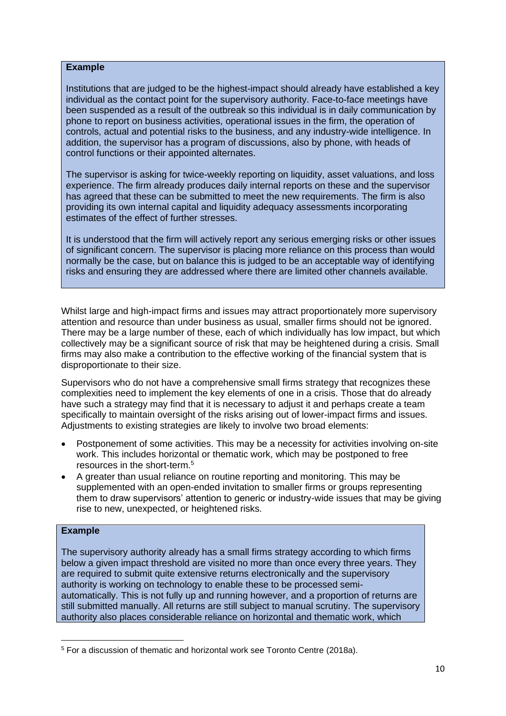#### **Example**

Institutions that are judged to be the highest-impact should already have established a key individual as the contact point for the supervisory authority. Face-to-face meetings have been suspended as a result of the outbreak so this individual is in daily communication by phone to report on business activities, operational issues in the firm, the operation of controls, actual and potential risks to the business, and any industry-wide intelligence. In addition, the supervisor has a program of discussions, also by phone, with heads of control functions or their appointed alternates.

The supervisor is asking for twice-weekly reporting on liquidity, asset valuations, and loss experience. The firm already produces daily internal reports on these and the supervisor has agreed that these can be submitted to meet the new requirements. The firm is also providing its own internal capital and liquidity adequacy assessments incorporating estimates of the effect of further stresses.

It is understood that the firm will actively report any serious emerging risks or other issues of significant concern. The supervisor is placing more reliance on this process than would normally be the case, but on balance this is judged to be an acceptable way of identifying risks and ensuring they are addressed where there are limited other channels available.

Whilst large and high-impact firms and issues may attract proportionately more supervisory attention and resource than under business as usual, smaller firms should not be ignored. There may be a large number of these, each of which individually has low impact, but which collectively may be a significant source of risk that may be heightened during a crisis. Small firms may also make a contribution to the effective working of the financial system that is disproportionate to their size.

Supervisors who do not have a comprehensive small firms strategy that recognizes these complexities need to implement the key elements of one in a crisis. Those that do already have such a strategy may find that it is necessary to adjust it and perhaps create a team specifically to maintain oversight of the risks arising out of lower-impact firms and issues. Adjustments to existing strategies are likely to involve two broad elements:

- Postponement of some activities. This may be a necessity for activities involving on-site work. This includes horizontal or thematic work, which may be postponed to free resources in the short-term.<sup>5</sup>
- A greater than usual reliance on routine reporting and monitoring. This may be supplemented with an open-ended invitation to smaller firms or groups representing them to draw supervisors' attention to generic or industry-wide issues that may be giving rise to new, unexpected, or heightened risks.

#### **Example**

The supervisory authority already has a small firms strategy according to which firms below a given impact threshold are visited no more than once every three years. They are required to submit quite extensive returns electronically and the supervisory authority is working on technology to enable these to be processed semiautomatically. This is not fully up and running however, and a proportion of returns are still submitted manually. All returns are still subject to manual scrutiny. The supervisory authority also places considerable reliance on horizontal and thematic work, which

<sup>5</sup> For a discussion of thematic and horizontal work see Toronto Centre (2018a).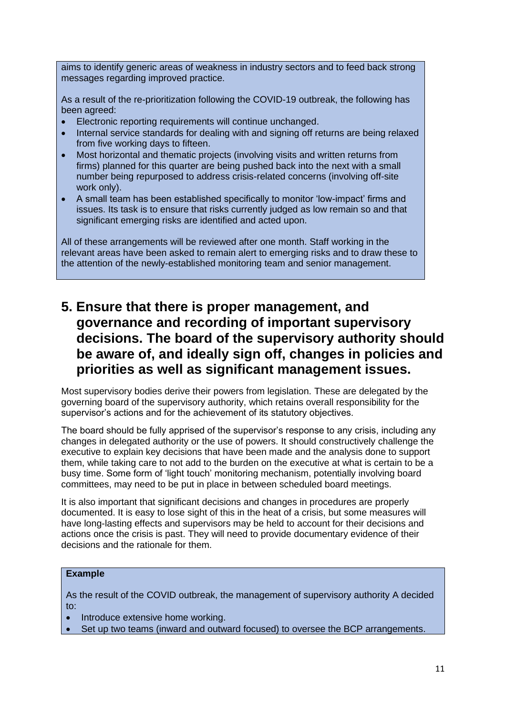aims to identify generic areas of weakness in industry sectors and to feed back strong messages regarding improved practice.

As a result of the re-prioritization following the COVID-19 outbreak, the following has been agreed:

- Electronic reporting requirements will continue unchanged.
- Internal service standards for dealing with and signing off returns are being relaxed from five working days to fifteen.
- Most horizontal and thematic projects (involving visits and written returns from firms) planned for this quarter are being pushed back into the next with a small number being repurposed to address crisis-related concerns (involving off-site work only).
- A small team has been established specifically to monitor 'low-impact' firms and issues. Its task is to ensure that risks currently judged as low remain so and that significant emerging risks are identified and acted upon.

All of these arrangements will be reviewed after one month. Staff working in the relevant areas have been asked to remain alert to emerging risks and to draw these to the attention of the newly-established monitoring team and senior management.

## <span id="page-10-0"></span>**5. Ensure that there is proper management, and governance and recording of important supervisory decisions. The board of the supervisory authority should be aware of, and ideally sign off, changes in policies and priorities as well as significant management issues.**

Most supervisory bodies derive their powers from legislation. These are delegated by the governing board of the supervisory authority, which retains overall responsibility for the supervisor's actions and for the achievement of its statutory objectives.

The board should be fully apprised of the supervisor's response to any crisis, including any changes in delegated authority or the use of powers. It should constructively challenge the executive to explain key decisions that have been made and the analysis done to support them, while taking care to not add to the burden on the executive at what is certain to be a busy time. Some form of 'light touch' monitoring mechanism, potentially involving board committees, may need to be put in place in between scheduled board meetings.

It is also important that significant decisions and changes in procedures are properly documented. It is easy to lose sight of this in the heat of a crisis, but some measures will have long-lasting effects and supervisors may be held to account for their decisions and actions once the crisis is past. They will need to provide documentary evidence of their decisions and the rationale for them.

#### **Example**

As the result of the COVID outbreak, the management of supervisory authority A decided to:

- Introduce extensive home working.
- Set up two teams (inward and outward focused) to oversee the BCP arrangements.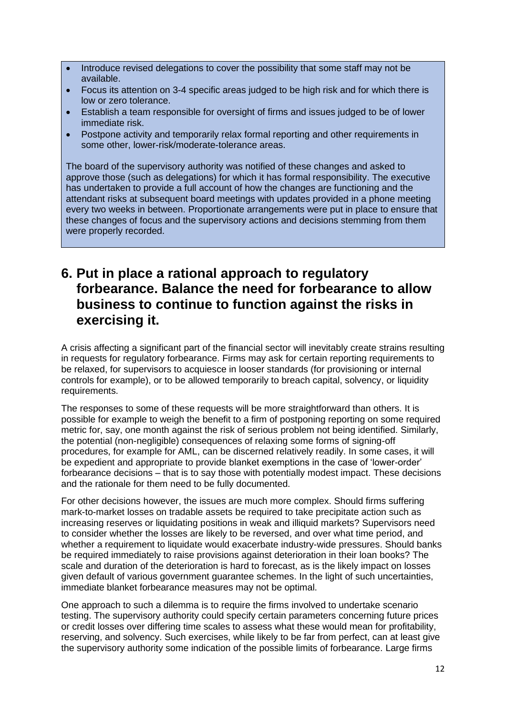- Introduce revised delegations to cover the possibility that some staff may not be available.
- Focus its attention on 3-4 specific areas judged to be high risk and for which there is low or zero tolerance.
- Establish a team responsible for oversight of firms and issues judged to be of lower immediate risk.
- Postpone activity and temporarily relax formal reporting and other requirements in some other, lower-risk/moderate-tolerance areas.

The board of the supervisory authority was notified of these changes and asked to approve those (such as delegations) for which it has formal responsibility. The executive has undertaken to provide a full account of how the changes are functioning and the attendant risks at subsequent board meetings with updates provided in a phone meeting every two weeks in between. Proportionate arrangements were put in place to ensure that these changes of focus and the supervisory actions and decisions stemming from them were properly recorded.

## <span id="page-11-0"></span>**6. Put in place a rational approach to regulatory forbearance. Balance the need for forbearance to allow business to continue to function against the risks in exercising it.**

A crisis affecting a significant part of the financial sector will inevitably create strains resulting in requests for regulatory forbearance. Firms may ask for certain reporting requirements to be relaxed, for supervisors to acquiesce in looser standards (for provisioning or internal controls for example), or to be allowed temporarily to breach capital, solvency, or liquidity requirements.

The responses to some of these requests will be more straightforward than others. It is possible for example to weigh the benefit to a firm of postponing reporting on some required metric for, say, one month against the risk of serious problem not being identified. Similarly, the potential (non-negligible) consequences of relaxing some forms of signing-off procedures, for example for AML, can be discerned relatively readily. In some cases, it will be expedient and appropriate to provide blanket exemptions in the case of 'lower-order' forbearance decisions – that is to say those with potentially modest impact. These decisions and the rationale for them need to be fully documented.

For other decisions however, the issues are much more complex. Should firms suffering mark-to-market losses on tradable assets be required to take precipitate action such as increasing reserves or liquidating positions in weak and illiquid markets? Supervisors need to consider whether the losses are likely to be reversed, and over what time period, and whether a requirement to liquidate would exacerbate industry-wide pressures. Should banks be required immediately to raise provisions against deterioration in their loan books? The scale and duration of the deterioration is hard to forecast, as is the likely impact on losses given default of various government guarantee schemes. In the light of such uncertainties, immediate blanket forbearance measures may not be optimal.

One approach to such a dilemma is to require the firms involved to undertake scenario testing. The supervisory authority could specify certain parameters concerning future prices or credit losses over differing time scales to assess what these would mean for profitability, reserving, and solvency. Such exercises, while likely to be far from perfect, can at least give the supervisory authority some indication of the possible limits of forbearance. Large firms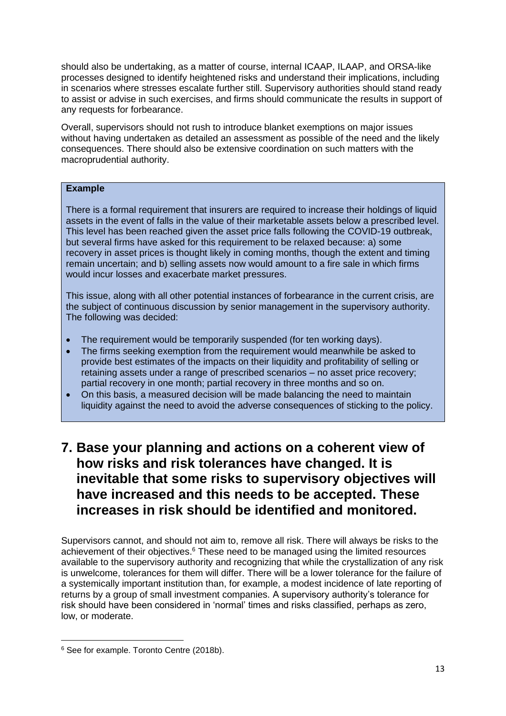should also be undertaking, as a matter of course, internal ICAAP, ILAAP, and ORSA-like processes designed to identify heightened risks and understand their implications, including in scenarios where stresses escalate further still. Supervisory authorities should stand ready to assist or advise in such exercises, and firms should communicate the results in support of any requests for forbearance.

Overall, supervisors should not rush to introduce blanket exemptions on major issues without having undertaken as detailed an assessment as possible of the need and the likely consequences. There should also be extensive coordination on such matters with the macroprudential authority.

### **Example**

There is a formal requirement that insurers are required to increase their holdings of liquid assets in the event of falls in the value of their marketable assets below a prescribed level. This level has been reached given the asset price falls following the COVID-19 outbreak, but several firms have asked for this requirement to be relaxed because: a) some recovery in asset prices is thought likely in coming months, though the extent and timing remain uncertain; and b) selling assets now would amount to a fire sale in which firms would incur losses and exacerbate market pressures.

This issue, along with all other potential instances of forbearance in the current crisis, are the subject of continuous discussion by senior management in the supervisory authority. The following was decided:

- The requirement would be temporarily suspended (for ten working days).
- The firms seeking exemption from the requirement would meanwhile be asked to provide best estimates of the impacts on their liquidity and profitability of selling or retaining assets under a range of prescribed scenarios – no asset price recovery; partial recovery in one month; partial recovery in three months and so on.
- On this basis, a measured decision will be made balancing the need to maintain liquidity against the need to avoid the adverse consequences of sticking to the policy.

## <span id="page-12-0"></span>**7. Base your planning and actions on a coherent view of how risks and risk tolerances have changed. It is inevitable that some risks to supervisory objectives will have increased and this needs to be accepted. These increases in risk should be identified and monitored.**

Supervisors cannot, and should not aim to, remove all risk. There will always be risks to the achievement of their objectives.<sup>6</sup> These need to be managed using the limited resources available to the supervisory authority and recognizing that while the crystallization of any risk is unwelcome, tolerances for them will differ. There will be a lower tolerance for the failure of a systemically important institution than, for example, a modest incidence of late reporting of returns by a group of small investment companies. A supervisory authority's tolerance for risk should have been considered in 'normal' times and risks classified, perhaps as zero, low, or moderate.

<sup>6</sup> See for example. Toronto Centre (2018b).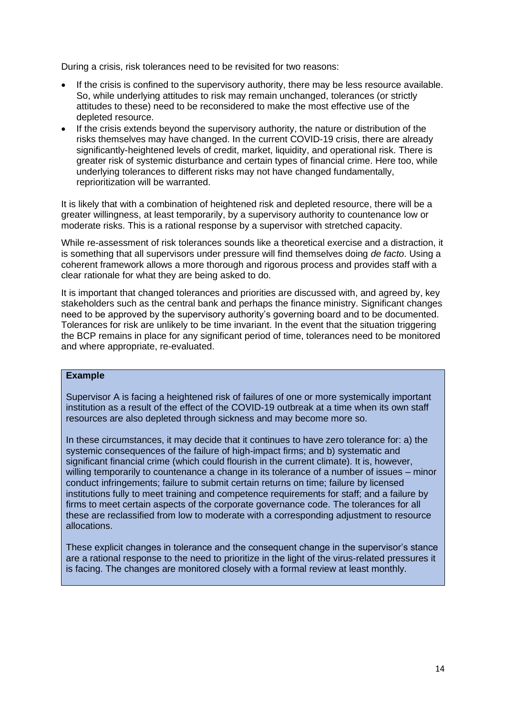During a crisis, risk tolerances need to be revisited for two reasons:

- If the crisis is confined to the supervisory authority, there may be less resource available. So, while underlying attitudes to risk may remain unchanged, tolerances (or strictly attitudes to these) need to be reconsidered to make the most effective use of the depleted resource.
- If the crisis extends beyond the supervisory authority, the nature or distribution of the risks themselves may have changed. In the current COVID-19 crisis, there are already significantly-heightened levels of credit, market, liquidity, and operational risk. There is greater risk of systemic disturbance and certain types of financial crime. Here too, while underlying tolerances to different risks may not have changed fundamentally, reprioritization will be warranted.

It is likely that with a combination of heightened risk and depleted resource, there will be a greater willingness, at least temporarily, by a supervisory authority to countenance low or moderate risks. This is a rational response by a supervisor with stretched capacity.

While re-assessment of risk tolerances sounds like a theoretical exercise and a distraction, it is something that all supervisors under pressure will find themselves doing *de facto*. Using a coherent framework allows a more thorough and rigorous process and provides staff with a clear rationale for what they are being asked to do.

It is important that changed tolerances and priorities are discussed with, and agreed by, key stakeholders such as the central bank and perhaps the finance ministry. Significant changes need to be approved by the supervisory authority's governing board and to be documented. Tolerances for risk are unlikely to be time invariant. In the event that the situation triggering the BCP remains in place for any significant period of time, tolerances need to be monitored and where appropriate, re-evaluated.

#### **Example**

Supervisor A is facing a heightened risk of failures of one or more systemically important institution as a result of the effect of the COVID-19 outbreak at a time when its own staff resources are also depleted through sickness and may become more so.

In these circumstances, it may decide that it continues to have zero tolerance for: a) the systemic consequences of the failure of high-impact firms; and b) systematic and significant financial crime (which could flourish in the current climate). It is, however, willing temporarily to countenance a change in its tolerance of a number of issues – minor conduct infringements; failure to submit certain returns on time; failure by licensed institutions fully to meet training and competence requirements for staff; and a failure by firms to meet certain aspects of the corporate governance code. The tolerances for all these are reclassified from low to moderate with a corresponding adjustment to resource allocations.

These explicit changes in tolerance and the consequent change in the supervisor's stance are a rational response to the need to prioritize in the light of the virus-related pressures it is facing. The changes are monitored closely with a formal review at least monthly.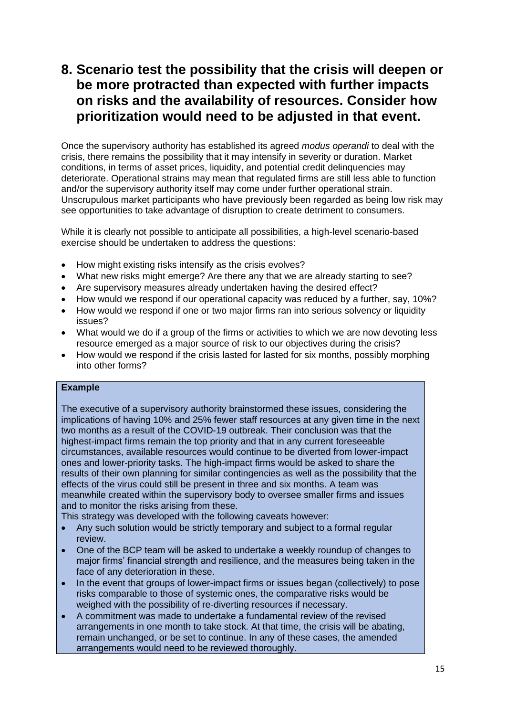## <span id="page-14-0"></span>**8. Scenario test the possibility that the crisis will deepen or be more protracted than expected with further impacts on risks and the availability of resources. Consider how prioritization would need to be adjusted in that event.**

Once the supervisory authority has established its agreed *modus operandi* to deal with the crisis, there remains the possibility that it may intensify in severity or duration. Market conditions, in terms of asset prices, liquidity, and potential credit delinquencies may deteriorate. Operational strains may mean that regulated firms are still less able to function and/or the supervisory authority itself may come under further operational strain. Unscrupulous market participants who have previously been regarded as being low risk may see opportunities to take advantage of disruption to create detriment to consumers.

While it is clearly not possible to anticipate all possibilities, a high-level scenario-based exercise should be undertaken to address the questions:

- How might existing risks intensify as the crisis evolves?
- What new risks might emerge? Are there any that we are already starting to see?
- Are supervisory measures already undertaken having the desired effect?
- How would we respond if our operational capacity was reduced by a further, say, 10%?
- How would we respond if one or two major firms ran into serious solvency or liquidity issues?
- What would we do if a group of the firms or activities to which we are now devoting less resource emerged as a major source of risk to our objectives during the crisis?
- How would we respond if the crisis lasted for lasted for six months, possibly morphing into other forms?

## **Example**

The executive of a supervisory authority brainstormed these issues, considering the implications of having 10% and 25% fewer staff resources at any given time in the next two months as a result of the COVID-19 outbreak. Their conclusion was that the highest-impact firms remain the top priority and that in any current foreseeable circumstances, available resources would continue to be diverted from lower-impact ones and lower-priority tasks. The high-impact firms would be asked to share the results of their own planning for similar contingencies as well as the possibility that the effects of the virus could still be present in three and six months. A team was meanwhile created within the supervisory body to oversee smaller firms and issues and to monitor the risks arising from these.

This strategy was developed with the following caveats however:

- Any such solution would be strictly temporary and subject to a formal regular review.
- One of the BCP team will be asked to undertake a weekly roundup of changes to major firms' financial strength and resilience, and the measures being taken in the face of any deterioration in these.
- In the event that groups of lower-impact firms or issues began (collectively) to pose risks comparable to those of systemic ones, the comparative risks would be weighed with the possibility of re-diverting resources if necessary.
- A commitment was made to undertake a fundamental review of the revised arrangements in one month to take stock. At that time, the crisis will be abating, remain unchanged, or be set to continue. In any of these cases, the amended arrangements would need to be reviewed thoroughly.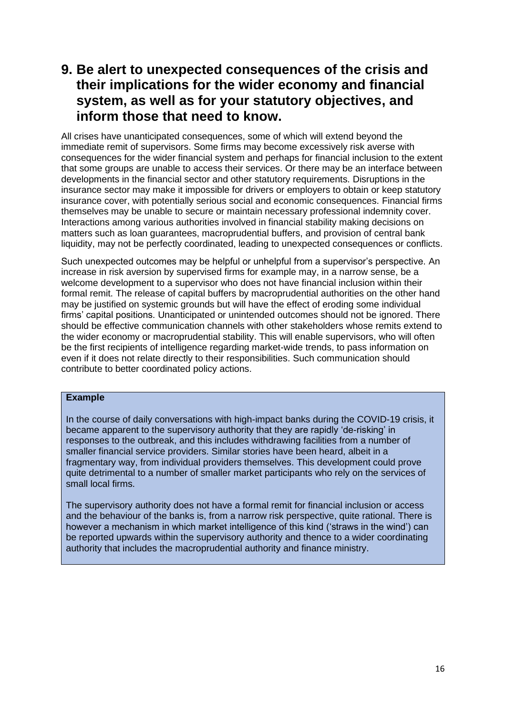## <span id="page-15-0"></span>**9. Be alert to unexpected consequences of the crisis and their implications for the wider economy and financial system, as well as for your statutory objectives, and inform those that need to know.**

All crises have unanticipated consequences, some of which will extend beyond the immediate remit of supervisors. Some firms may become excessively risk averse with consequences for the wider financial system and perhaps for financial inclusion to the extent that some groups are unable to access their services. Or there may be an interface between developments in the financial sector and other statutory requirements. Disruptions in the insurance sector may make it impossible for drivers or employers to obtain or keep statutory insurance cover, with potentially serious social and economic consequences. Financial firms themselves may be unable to secure or maintain necessary professional indemnity cover. Interactions among various authorities involved in financial stability making decisions on matters such as loan guarantees, macroprudential buffers, and provision of central bank liquidity, may not be perfectly coordinated, leading to unexpected consequences or conflicts.

Such unexpected outcomes may be helpful or unhelpful from a supervisor's perspective. An increase in risk aversion by supervised firms for example may, in a narrow sense, be a welcome development to a supervisor who does not have financial inclusion within their formal remit. The release of capital buffers by macroprudential authorities on the other hand may be justified on systemic grounds but will have the effect of eroding some individual firms' capital positions. Unanticipated or unintended outcomes should not be ignored. There should be effective communication channels with other stakeholders whose remits extend to the wider economy or macroprudential stability. This will enable supervisors, who will often be the first recipients of intelligence regarding market-wide trends, to pass information on even if it does not relate directly to their responsibilities. Such communication should contribute to better coordinated policy actions.

#### **Example**

In the course of daily conversations with high-impact banks during the COVID-19 crisis, it became apparent to the supervisory authority that they are rapidly 'de-risking' in responses to the outbreak, and this includes withdrawing facilities from a number of smaller financial service providers. Similar stories have been heard, albeit in a fragmentary way, from individual providers themselves. This development could prove quite detrimental to a number of smaller market participants who rely on the services of small local firms.

The supervisory authority does not have a formal remit for financial inclusion or access and the behaviour of the banks is, from a narrow risk perspective, quite rational. There is however a mechanism in which market intelligence of this kind ('straws in the wind') can be reported upwards within the supervisory authority and thence to a wider coordinating authority that includes the macroprudential authority and finance ministry.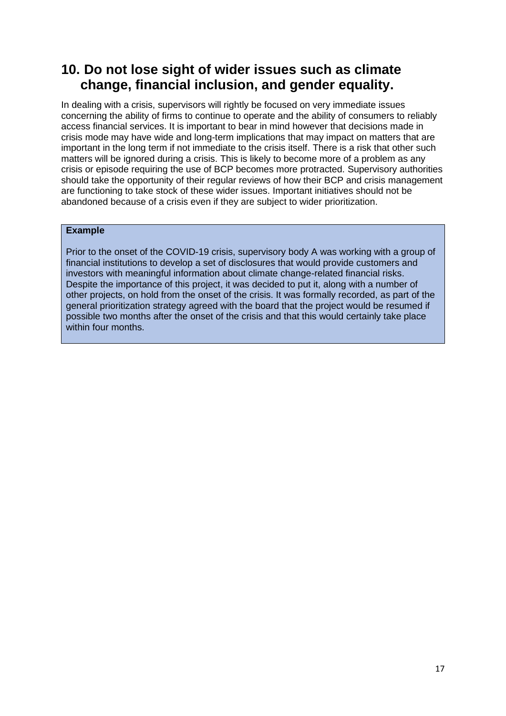## <span id="page-16-0"></span>**10. Do not lose sight of wider issues such as climate change, financial inclusion, and gender equality.**

In dealing with a crisis, supervisors will rightly be focused on very immediate issues concerning the ability of firms to continue to operate and the ability of consumers to reliably access financial services. It is important to bear in mind however that decisions made in crisis mode may have wide and long-term implications that may impact on matters that are important in the long term if not immediate to the crisis itself. There is a risk that other such matters will be ignored during a crisis. This is likely to become more of a problem as any crisis or episode requiring the use of BCP becomes more protracted. Supervisory authorities should take the opportunity of their regular reviews of how their BCP and crisis management are functioning to take stock of these wider issues. Important initiatives should not be abandoned because of a crisis even if they are subject to wider prioritization.

### **Example**

Prior to the onset of the COVID-19 crisis, supervisory body A was working with a group of financial institutions to develop a set of disclosures that would provide customers and investors with meaningful information about climate change-related financial risks. Despite the importance of this project, it was decided to put it, along with a number of other projects, on hold from the onset of the crisis. It was formally recorded, as part of the general prioritization strategy agreed with the board that the project would be resumed if possible two months after the onset of the crisis and that this would certainly take place within four months.